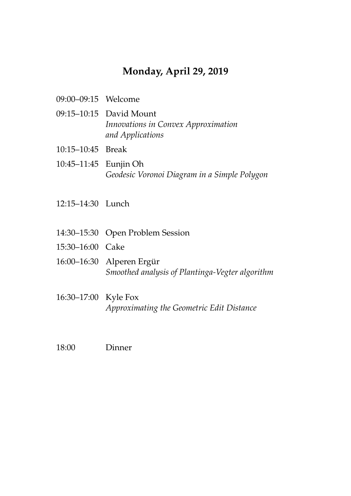## **Monday, April 29, 2019**

- 09:00–09:15 Welcome
- 09:15–10:15 David Mount *Innovations in Convex Approximation and Applications*
- 10:15–10:45 Break
- 10:45–11:45 Eunjin Oh *Geodesic Voronoi Diagram in a Simple Polygon*
- 12:15–14:30 Lunch
- 14:30–15:30 Open Problem Session
- 15:30–16:00 Cake
- 16:00–16:30 Alperen Ergür *Smoothed analysis of Plantinga-Vegter algorithm*
- 16:30–17:00 Kyle Fox *Approximating the Geometric Edit Distance*
- 18:00 Dinner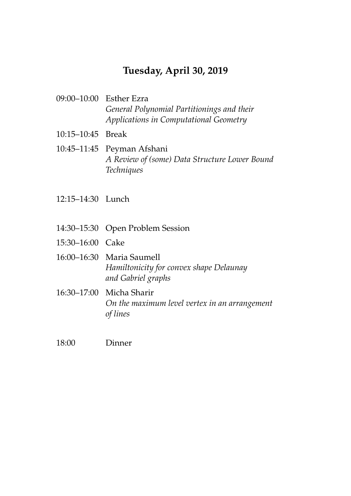## **Tuesday, April 30, 2019**

- 09:00–10:00 Esther Ezra *General Polynomial Partitionings and their Applications in Computational Geometry*
- 10:15–10:45 Break
- 10:45–11:45 Peyman Afshani *A Review of (some) Data Structure Lower Bound Techniques*
- 12:15–14:30 Lunch
- 14:30–15:30 Open Problem Session
- 15:30–16:00 Cake
- 16:00–16:30 Maria Saumell *Hamiltonicity for convex shape Delaunay and Gabriel graphs*
- 16:30–17:00 Micha Sharir *On the maximum level vertex in an arrangement of lines*
- 18:00 Dinner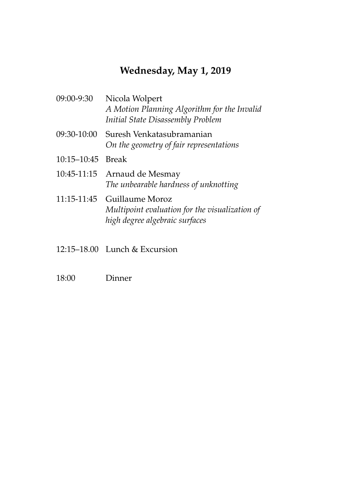# **Wednesday, May 1, 2019**

| 09:00-9:30        | Nicola Wolpert<br>A Motion Planning Algorithm for the Invalid<br>Initial State Disassembly Problem  |
|-------------------|-----------------------------------------------------------------------------------------------------|
| 09:30-10:00       | Suresh Venkatasubramanian<br>On the geometry of fair representations                                |
| 10:15-10:45 Break |                                                                                                     |
| 10:45-11:15       | Arnaud de Mesmay<br>The unbearable hardness of unknotting                                           |
| 11:15-11:45       | Guillaume Moroz<br>Multipoint evaluation for the visualization of<br>high degree algebraic surfaces |

- 12:15–18.00 Lunch & Excursion
- 18:00 Dinner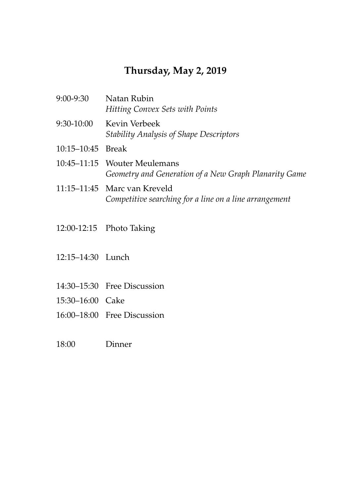## **Thursday, May 2, 2019**

| 9:00-9:30         | Natan Rubin<br><b>Hitting Convex Sets with Points</b>                                  |
|-------------------|----------------------------------------------------------------------------------------|
| 9:30-10:00        | Kevin Verbeek<br><b>Stability Analysis of Shape Descriptors</b>                        |
| 10:15–10:45 Break |                                                                                        |
|                   | 10:45–11:15 Wouter Meulemans<br>Geometry and Generation of a New Graph Planarity Game  |
|                   | 11:15–11:45 Marc van Kreveld<br>Competitive searching for a line on a line arrangement |

- 12:00-12:15 Photo Taking
- 12:15–14:30 Lunch
- 14:30–15:30 Free Discussion
- 15:30–16:00 Cake
- 16:00–18:00 Free Discussion
- 18:00 Dinner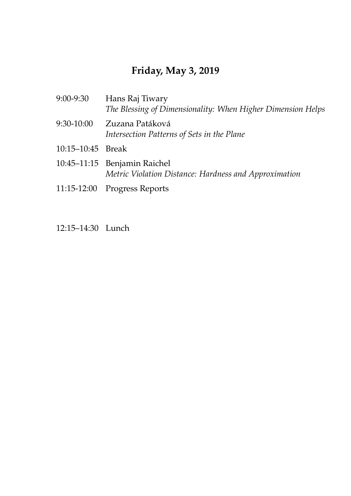# **Friday, May 3, 2019**

| 9:00-9:30         | Hans Raj Tiwary<br>The Blessing of Dimensionality: When Higher Dimension Helps        |
|-------------------|---------------------------------------------------------------------------------------|
| 9:30-10:00        | Zuzana Patáková<br>Intersection Patterns of Sets in the Plane                         |
| 10:15-10:45 Break |                                                                                       |
|                   | 10:45-11:15 Benjamin Raichel<br>Metric Violation Distance: Hardness and Approximation |
|                   | 11:15-12:00 Progress Reports                                                          |
|                   |                                                                                       |

12:15–14:30 Lunch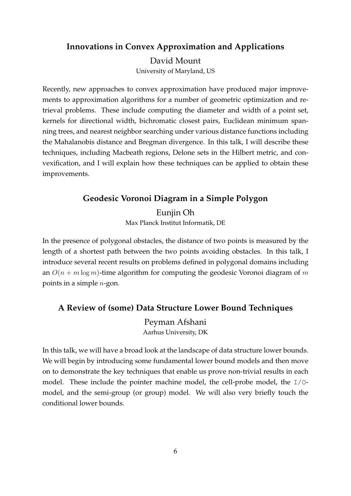#### **Innovations in Convex Approximation and Applications**

David Mount University of Maryland, US

Recently, new approaches to convex approximation have produced major improvements to approximation algorithms for a number of geometric optimization and retrieval problems. These include computing the diameter and width of a point set, kernels for directional width, bichromatic closest pairs, Euclidean minimum spanning trees, and nearest neighbor searching under various distance functions including the Mahalanobis distance and Bregman divergence. In this talk, I will describe these techniques, including Macbeath regions, Delone sets in the Hilbert metric, and convexification, and I will explain how these techniques can be applied to obtain these improvements.

#### **Geodesic Voronoi Diagram in a Simple Polygon**

Eunjin Oh Max Planck Institut Informatik, DE

In the presence of polygonal obstacles, the distance of two points is measured by the length of a shortest path between the two points avoiding obstacles. In this talk, I introduce several recent results on problems defined in polygonal domains including an  $O(n + m \log m)$ -time algorithm for computing the geodesic Voronoi diagram of m points in a simple  $n$ -gon.

### **A Review of (some) Data Structure Lower Bound Techniques**

Peyman Afshani Aarhus University, DK

In this talk, we will have a broad look at the landscape of data structure lower bounds. We will begin by introducing some fundamental lower bound models and then move on to demonstrate the key techniques that enable us prove non-trivial results in each model. These include the pointer machine model, the cell-probe model, the I/Omodel, and the semi-group (or group) model. We will also very briefly touch the conditional lower bounds.